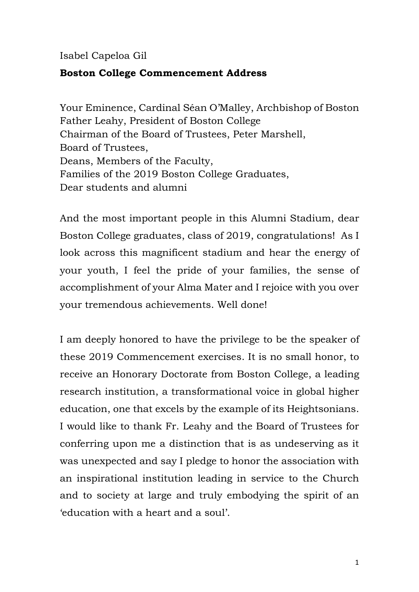## Isabel Capeloa Gil

## **Boston College Commencement Address**

Your Eminence, Cardinal Séan O'Malley, Archbishop of Boston Father Leahy, President of Boston College Chairman of the Board of Trustees, Peter Marshell, Board of Trustees, Deans, Members of the Faculty, Families of the 2019 Boston College Graduates, Dear students and alumni

And the most important people in this Alumni Stadium, dear Boston College graduates, class of 2019, congratulations! As I look across this magnificent stadium and hear the energy of your youth, I feel the pride of your families, the sense of accomplishment of your Alma Mater and I rejoice with you over your tremendous achievements. Well done!

I am deeply honored to have the privilege to be the speaker of these 2019 Commencement exercises. It is no small honor, to receive an Honorary Doctorate from Boston College, a leading research institution, a transformational voice in global higher education, one that excels by the example of its Heightsonians. I would like to thank Fr. Leahy and the Board of Trustees for conferring upon me a distinction that is as undeserving as it was unexpected and say I pledge to honor the association with an inspirational institution leading in service to the Church and to society at large and truly embodying the spirit of an 'education with a heart and a soul'.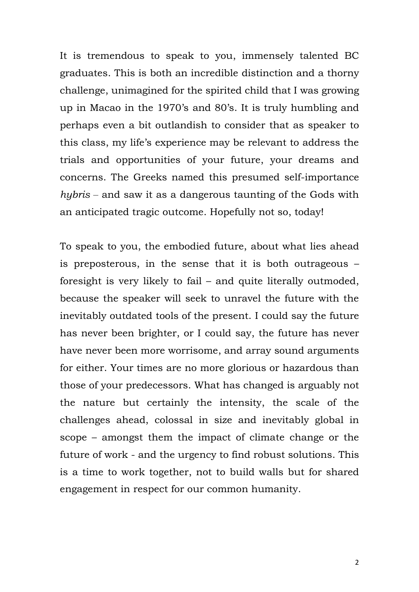It is tremendous to speak to you, immensely talented BC graduates. This is both an incredible distinction and a thorny challenge, unimagined for the spirited child that I was growing up in Macao in the 1970's and 80's. It is truly humbling and perhaps even a bit outlandish to consider that as speaker to this class, my life's experience may be relevant to address the trials and opportunities of your future, your dreams and concerns. The Greeks named this presumed self-importance *hybris* ‒ and saw it as a dangerous taunting of the Gods with an anticipated tragic outcome. Hopefully not so, today!

To speak to you, the embodied future, about what lies ahead is preposterous, in the sense that it is both outrageous – foresight is very likely to fail – and quite literally outmoded, because the speaker will seek to unravel the future with the inevitably outdated tools of the present. I could say the future has never been brighter, or I could say, the future has never have never been more worrisome, and array sound arguments for either. Your times are no more glorious or hazardous than those of your predecessors. What has changed is arguably not the nature but certainly the intensity, the scale of the challenges ahead, colossal in size and inevitably global in scope – amongst them the impact of climate change or the future of work - and the urgency to find robust solutions. This is a time to work together, not to build walls but for shared engagement in respect for our common humanity.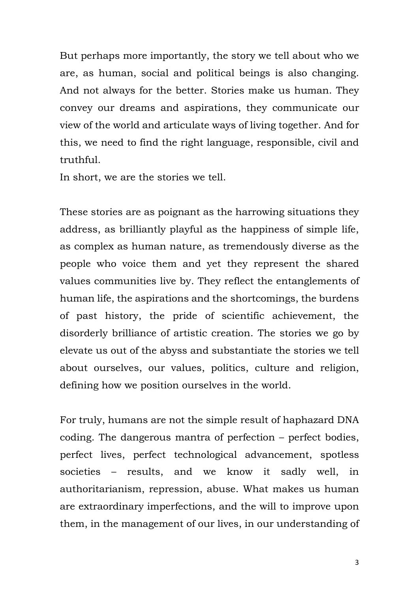But perhaps more importantly, the story we tell about who we are, as human, social and political beings is also changing. And not always for the better. Stories make us human. They convey our dreams and aspirations, they communicate our view of the world and articulate ways of living together. And for this, we need to find the right language, responsible, civil and truthful.

In short, we are the stories we tell.

These stories are as poignant as the harrowing situations they address, as brilliantly playful as the happiness of simple life, as complex as human nature, as tremendously diverse as the people who voice them and yet they represent the shared values communities live by. They reflect the entanglements of human life, the aspirations and the shortcomings, the burdens of past history, the pride of scientific achievement, the disorderly brilliance of artistic creation. The stories we go by elevate us out of the abyss and substantiate the stories we tell about ourselves, our values, politics, culture and religion, defining how we position ourselves in the world.

For truly, humans are not the simple result of haphazard DNA coding. The dangerous mantra of perfection – perfect bodies, perfect lives, perfect technological advancement, spotless societies – results, and we know it sadly well, in authoritarianism, repression, abuse. What makes us human are extraordinary imperfections, and the will to improve upon them, in the management of our lives, in our understanding of

3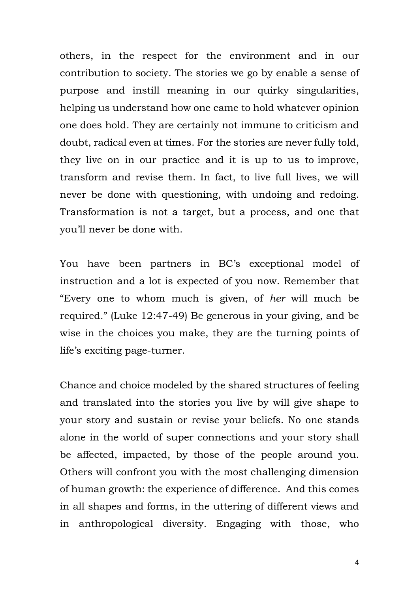others, in the respect for the environment and in our contribution to society. The stories we go by enable a sense of purpose and instill meaning in our quirky singularities, helping us understand how one came to hold whatever opinion one does hold. They are certainly not immune to criticism and doubt, radical even at times. For the stories are never fully told, they live on in our practice and it is up to us to improve, transform and revise them. In fact, to live full lives, we will never be done with questioning, with undoing and redoing. Transformation is not a target, but a process, and one that you'll never be done with.

You have been partners in BC's exceptional model of instruction and a lot is expected of you now. Remember that "Every one to whom much is given, of *her* will much be required." (Luke 12:47-49) Be generous in your giving, and be wise in the choices you make, they are the turning points of life's exciting page-turner.

Chance and choice modeled by the shared structures of feeling and translated into the stories you live by will give shape to your story and sustain or revise your beliefs. No one stands alone in the world of super connections and your story shall be affected, impacted, by those of the people around you. Others will confront you with the most challenging dimension of human growth: the experience of difference. And this comes in all shapes and forms, in the uttering of different views and in anthropological diversity. Engaging with those, who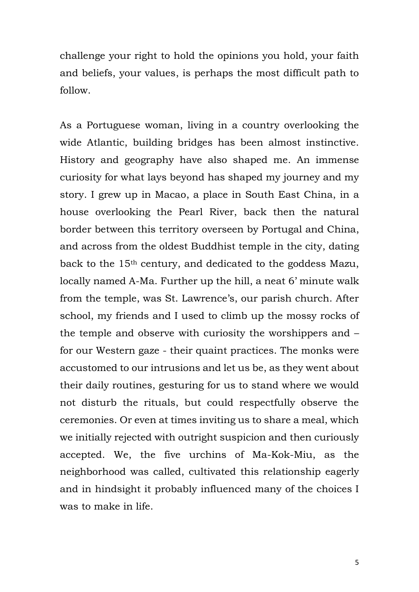challenge your right to hold the opinions you hold, your faith and beliefs, your values, is perhaps the most difficult path to follow.

As a Portuguese woman, living in a country overlooking the wide Atlantic, building bridges has been almost instinctive. History and geography have also shaped me. An immense curiosity for what lays beyond has shaped my journey and my story. I grew up in Macao, a place in South East China, in a house overlooking the Pearl River, back then the natural border between this territory overseen by Portugal and China, and across from the oldest Buddhist temple in the city, dating back to the 15th century, and dedicated to the goddess Mazu, locally named A-Ma. Further up the hill, a neat 6' minute walk from the temple, was St. Lawrence's, our parish church. After school, my friends and I used to climb up the mossy rocks of the temple and observe with curiosity the worshippers and – for our Western gaze - their quaint practices. The monks were accustomed to our intrusions and let us be, as they went about their daily routines, gesturing for us to stand where we would not disturb the rituals, but could respectfully observe the ceremonies. Or even at times inviting us to share a meal, which we initially rejected with outright suspicion and then curiously accepted. We, the five urchins of Ma-Kok-Miu, as the neighborhood was called, cultivated this relationship eagerly and in hindsight it probably influenced many of the choices I was to make in life.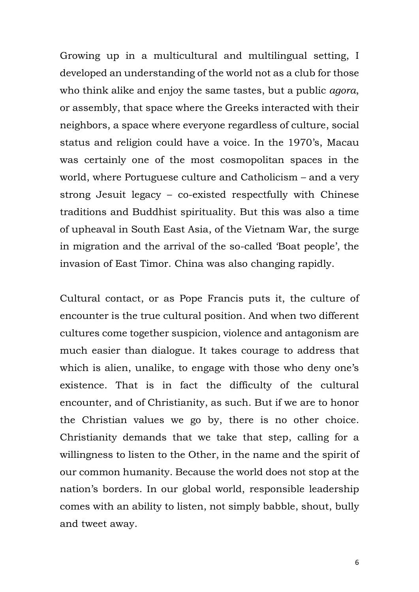Growing up in a multicultural and multilingual setting, I developed an understanding of the world not as a club for those who think alike and enjoy the same tastes, but a public *agora*, or assembly, that space where the Greeks interacted with their neighbors, a space where everyone regardless of culture, social status and religion could have a voice. In the 1970's, Macau was certainly one of the most cosmopolitan spaces in the world, where Portuguese culture and Catholicism – and a very strong Jesuit legacy – co-existed respectfully with Chinese traditions and Buddhist spirituality. But this was also a time of upheaval in South East Asia, of the Vietnam War, the surge in migration and the arrival of the so-called 'Boat people', the invasion of East Timor. China was also changing rapidly.

Cultural contact, or as Pope Francis puts it, the culture of encounter is the true cultural position. And when two different cultures come together suspicion, violence and antagonism are much easier than dialogue. It takes courage to address that which is alien, unalike, to engage with those who deny one's existence. That is in fact the difficulty of the cultural encounter, and of Christianity, as such. But if we are to honor the Christian values we go by, there is no other choice. Christianity demands that we take that step, calling for a willingness to listen to the Other, in the name and the spirit of our common humanity. Because the world does not stop at the nation's borders. In our global world, responsible leadership comes with an ability to listen, not simply babble, shout, bully and tweet away.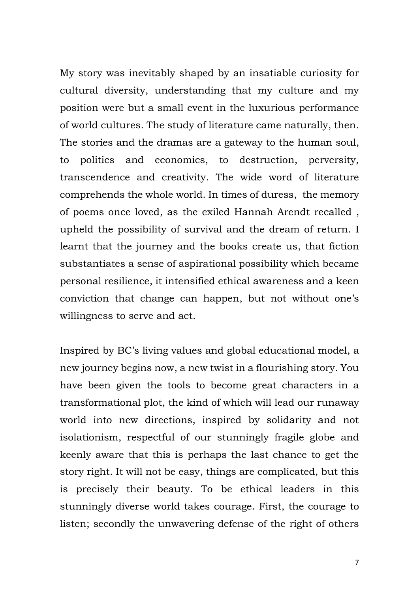My story was inevitably shaped by an insatiable curiosity for cultural diversity, understanding that my culture and my position were but a small event in the luxurious performance of world cultures. The study of literature came naturally, then. The stories and the dramas are a gateway to the human soul, to politics and economics, to destruction, perversity, transcendence and creativity. The wide word of literature comprehends the whole world. In times of duress, the memory of poems once loved, as the exiled Hannah Arendt recalled , upheld the possibility of survival and the dream of return. I learnt that the journey and the books create us, that fiction substantiates a sense of aspirational possibility which became personal resilience, it intensified ethical awareness and a keen conviction that change can happen, but not without one's willingness to serve and act.

Inspired by BC's living values and global educational model, a new journey begins now, a new twist in a flourishing story. You have been given the tools to become great characters in a transformational plot, the kind of which will lead our runaway world into new directions, inspired by solidarity and not isolationism, respectful of our stunningly fragile globe and keenly aware that this is perhaps the last chance to get the story right. It will not be easy, things are complicated, but this is precisely their beauty. To be ethical leaders in this stunningly diverse world takes courage. First, the courage to listen; secondly the unwavering defense of the right of others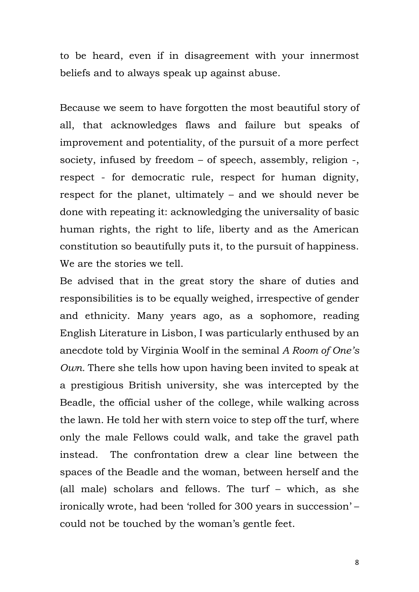to be heard, even if in disagreement with your innermost beliefs and to always speak up against abuse.

Because we seem to have forgotten the most beautiful story of all, that acknowledges flaws and failure but speaks of improvement and potentiality, of the pursuit of a more perfect society, infused by freedom – of speech, assembly, religion -, respect - for democratic rule, respect for human dignity, respect for the planet, ultimately – and we should never be done with repeating it: acknowledging the universality of basic human rights, the right to life, liberty and as the American constitution so beautifully puts it, to the pursuit of happiness. We are the stories we tell.

Be advised that in the great story the share of duties and responsibilities is to be equally weighed, irrespective of gender and ethnicity. Many years ago, as a sophomore, reading English Literature in Lisbon, I was particularly enthused by an anecdote told by Virginia Woolf in the seminal *A Room of One's Own.* There she tells how upon having been invited to speak at a prestigious British university, she was intercepted by the Beadle, the official usher of the college, while walking across the lawn. He told her with stern voice to step off the turf, where only the male Fellows could walk, and take the gravel path instead. The confrontation drew a clear line between the spaces of the Beadle and the woman, between herself and the (all male) scholars and fellows. The turf – which, as she ironically wrote, had been 'rolled for 300 years in succession' – could not be touched by the woman's gentle feet.

8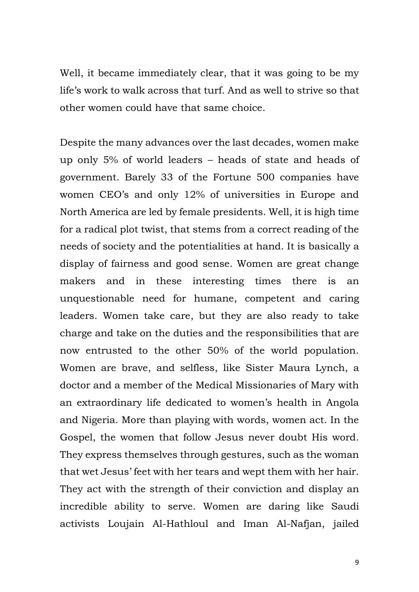Well, it became immediately clear, that it was going to be my life's work to walk across that turf. And as well to strive so that other women could have that same choice.

Despite the many advances over the last decades, women make up only 5% of world leaders – heads of state and heads of government. Barely 33 of the Fortune 500 companies have women CEO's and only 12% of universities in Europe and North America are led by female presidents. Well, it is high time for a radical plot twist, that stems from a correct reading of the needs of society and the potentialities at hand. It is basically a display of fairness and good sense. Women are great change makers and in these interesting times there is an unquestionable need for humane, competent and caring leaders. Women take care, but they are also ready to take charge and take on the duties and the responsibilities that are now entrusted to the other 50% of the world population. Women are brave, and selfless, like Sister Maura Lynch, a doctor and a member of the Medical Missionaries of Mary with an extraordinary life dedicated to women's health in Angola and Nigeria. More than playing with words, women act. In the Gospel, the women that follow Jesus never doubt His word. They express themselves through gestures, such as the woman that wet Jesus' feet with her tears and wept them with her hair. They act with the strength of their conviction and display an incredible ability to serve. Women are daring like Saudi activists Loujain Al-Hathloul and Iman Al-Nafjan, jailed